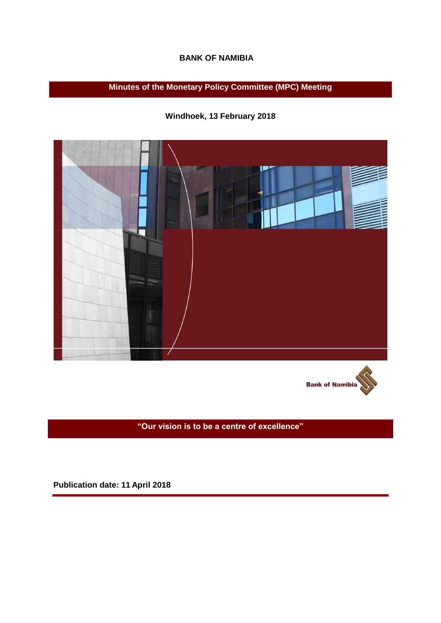## **BANK OF NAMIBIA**

**Minutes of the Monetary Policy Committee (MPC) Meeting**

**Windhoek, 13 February 2018** 



**Bank of Namibia** 

**"Our vision is to be a centre of excellence"**

**Publication date: 11 April 2018**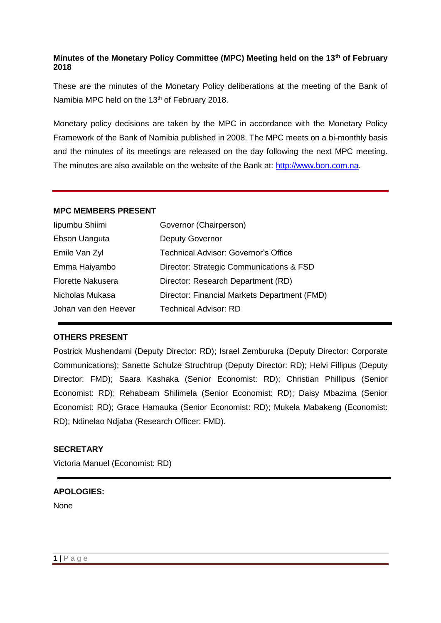# **Minutes of the Monetary Policy Committee (MPC) Meeting held on the 13th of February 2018**

These are the minutes of the Monetary Policy deliberations at the meeting of the Bank of Namibia MPC held on the 13<sup>th</sup> of February 2018.

Monetary policy decisions are taken by the MPC in accordance with the Monetary Policy Framework of the Bank of Namibia published in 2008. The MPC meets on a bi-monthly basis and the minutes of its meetings are released on the day following the next MPC meeting. The minutes are also available on the website of the Bank at: [http://www.bon.com.na.](http://www.bon.com.na/)

## **MPC MEMBERS PRESENT**

| lipumbu Shiimi           | Governor (Chairperson)                       |
|--------------------------|----------------------------------------------|
| Ebson Uanguta            | <b>Deputy Governor</b>                       |
| Emile Van Zyl            | Technical Advisor: Governor's Office         |
| Emma Haiyambo            | Director: Strategic Communications & FSD     |
| <b>Florette Nakusera</b> | Director: Research Department (RD)           |
| Nicholas Mukasa          | Director: Financial Markets Department (FMD) |
| Johan van den Heever     | Technical Advisor: RD                        |

## **OTHERS PRESENT**

Postrick Mushendami (Deputy Director: RD); Israel Zemburuka (Deputy Director: Corporate Communications); Sanette Schulze Struchtrup (Deputy Director: RD); Helvi Fillipus (Deputy Director: FMD); Saara Kashaka (Senior Economist: RD); Christian Phillipus (Senior Economist: RD); Rehabeam Shilimela (Senior Economist: RD); Daisy Mbazima (Senior Economist: RD); Grace Hamauka (Senior Economist: RD); Mukela Mabakeng (Economist: RD); Ndinelao Ndjaba (Research Officer: FMD).

## **SECRETARY**

Victoria Manuel (Economist: RD)

#### **APOLOGIES:**

None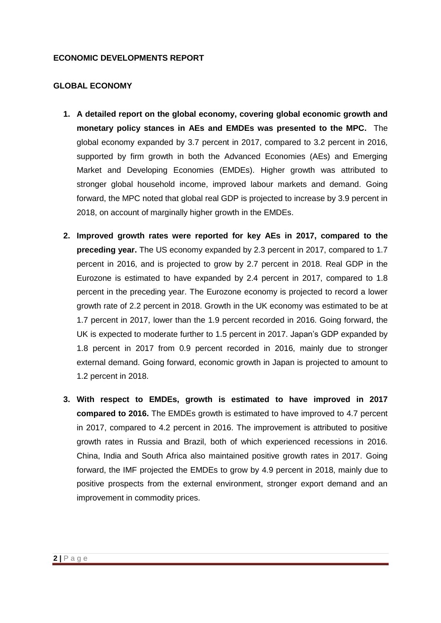#### **ECONOMIC DEVELOPMENTS REPORT**

#### **GLOBAL ECONOMY**

- **1. A detailed report on the global economy, covering global economic growth and monetary policy stances in AEs and EMDEs was presented to the MPC.** The global economy expanded by 3.7 percent in 2017, compared to 3.2 percent in 2016, supported by firm growth in both the Advanced Economies (AEs) and Emerging Market and Developing Economies (EMDEs). Higher growth was attributed to stronger global household income, improved labour markets and demand. Going forward, the MPC noted that global real GDP is projected to increase by 3.9 percent in 2018, on account of marginally higher growth in the EMDEs.
- **2. Improved growth rates were reported for key AEs in 2017, compared to the preceding year.** The US economy expanded by 2.3 percent in 2017, compared to 1.7 percent in 2016, and is projected to grow by 2.7 percent in 2018. Real GDP in the Eurozone is estimated to have expanded by 2.4 percent in 2017, compared to 1.8 percent in the preceding year. The Eurozone economy is projected to record a lower growth rate of 2.2 percent in 2018. Growth in the UK economy was estimated to be at 1.7 percent in 2017, lower than the 1.9 percent recorded in 2016. Going forward, the UK is expected to moderate further to 1.5 percent in 2017. Japan's GDP expanded by 1.8 percent in 2017 from 0.9 percent recorded in 2016, mainly due to stronger external demand. Going forward, economic growth in Japan is projected to amount to 1.2 percent in 2018.
- **3. With respect to EMDEs, growth is estimated to have improved in 2017 compared to 2016.** The EMDEs growth is estimated to have improved to 4.7 percent in 2017, compared to 4.2 percent in 2016. The improvement is attributed to positive growth rates in Russia and Brazil, both of which experienced recessions in 2016. China, India and South Africa also maintained positive growth rates in 2017. Going forward, the IMF projected the EMDEs to grow by 4.9 percent in 2018, mainly due to positive prospects from the external environment, stronger export demand and an improvement in commodity prices.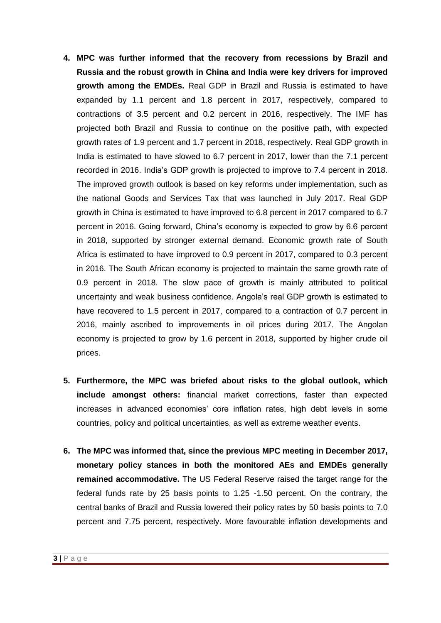- **4. MPC was further informed that the recovery from recessions by Brazil and Russia and the robust growth in China and India were key drivers for improved growth among the EMDEs.** Real GDP in Brazil and Russia is estimated to have expanded by 1.1 percent and 1.8 percent in 2017, respectively, compared to contractions of 3.5 percent and 0.2 percent in 2016, respectively. The IMF has projected both Brazil and Russia to continue on the positive path, with expected growth rates of 1.9 percent and 1.7 percent in 2018, respectively. Real GDP growth in India is estimated to have slowed to 6.7 percent in 2017, lower than the 7.1 percent recorded in 2016. India's GDP growth is projected to improve to 7.4 percent in 2018. The improved growth outlook is based on key reforms under implementation, such as the national Goods and Services Tax that was launched in July 2017. Real GDP growth in China is estimated to have improved to 6.8 percent in 2017 compared to 6.7 percent in 2016. Going forward, China's economy is expected to grow by 6.6 percent in 2018, supported by stronger external demand. Economic growth rate of South Africa is estimated to have improved to 0.9 percent in 2017, compared to 0.3 percent in 2016. The South African economy is projected to maintain the same growth rate of 0.9 percent in 2018. The slow pace of growth is mainly attributed to political uncertainty and weak business confidence. Angola's real GDP growth is estimated to have recovered to 1.5 percent in 2017, compared to a contraction of 0.7 percent in 2016, mainly ascribed to improvements in oil prices during 2017. The Angolan economy is projected to grow by 1.6 percent in 2018, supported by higher crude oil prices.
- **5. Furthermore, the MPC was briefed about risks to the global outlook, which include amongst others:** financial market corrections, faster than expected increases in advanced economies' core inflation rates, high debt levels in some countries, policy and political uncertainties, as well as extreme weather events.
- **6. The MPC was informed that, since the previous MPC meeting in December 2017, monetary policy stances in both the monitored AEs and EMDEs generally remained accommodative.** The US Federal Reserve raised the target range for the federal funds rate by 25 basis points to 1.25 -1.50 percent. On the contrary, the central banks of Brazil and Russia lowered their policy rates by 50 basis points to 7.0 percent and 7.75 percent, respectively. More favourable inflation developments and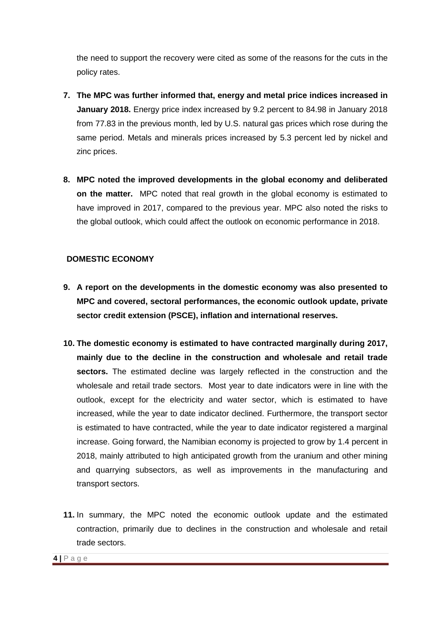the need to support the recovery were cited as some of the reasons for the cuts in the policy rates.

- **7. The MPC was further informed that, energy and metal price indices increased in January 2018.** Energy price index increased by 9.2 percent to 84.98 in January 2018 from 77.83 in the previous month, led by U.S. natural gas prices which rose during the same period. Metals and minerals prices increased by 5.3 percent led by nickel and zinc prices.
- **8. MPC noted the improved developments in the global economy and deliberated on the matter.** MPC noted that real growth in the global economy is estimated to have improved in 2017, compared to the previous year. MPC also noted the risks to the global outlook, which could affect the outlook on economic performance in 2018.

# **DOMESTIC ECONOMY**

- **9. A report on the developments in the domestic economy was also presented to MPC and covered, sectoral performances, the economic outlook update, private sector credit extension (PSCE), inflation and international reserves.**
- **10. The domestic economy is estimated to have contracted marginally during 2017, mainly due to the decline in the construction and wholesale and retail trade sectors.** The estimated decline was largely reflected in the construction and the wholesale and retail trade sectors. Most year to date indicators were in line with the outlook, except for the electricity and water sector, which is estimated to have increased, while the year to date indicator declined. Furthermore, the transport sector is estimated to have contracted, while the year to date indicator registered a marginal increase. Going forward, the Namibian economy is projected to grow by 1.4 percent in 2018, mainly attributed to high anticipated growth from the uranium and other mining and quarrying subsectors, as well as improvements in the manufacturing and transport sectors.
- **11.** In summary, the MPC noted the economic outlook update and the estimated contraction, primarily due to declines in the construction and wholesale and retail trade sectors.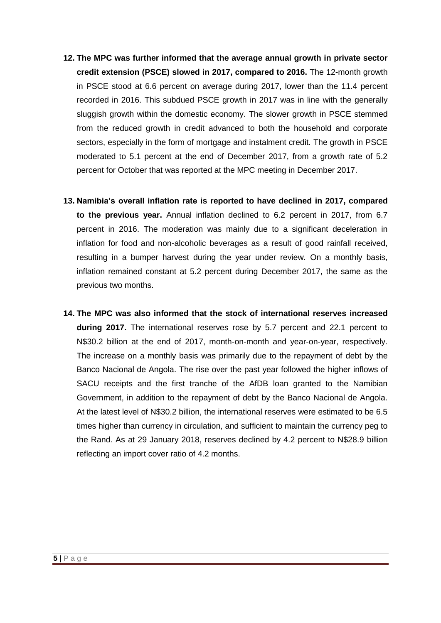- **12. The MPC was further informed that the average annual growth in private sector credit extension (PSCE) slowed in 2017, compared to 2016.** The 12-month growth in PSCE stood at 6.6 percent on average during 2017, lower than the 11.4 percent recorded in 2016. This subdued PSCE growth in 2017 was in line with the generally sluggish growth within the domestic economy. The slower growth in PSCE stemmed from the reduced growth in credit advanced to both the household and corporate sectors, especially in the form of mortgage and instalment credit. The growth in PSCE moderated to 5.1 percent at the end of December 2017, from a growth rate of 5.2 percent for October that was reported at the MPC meeting in December 2017.
- **13. Namibia's overall inflation rate is reported to have declined in 2017, compared to the previous year.** Annual inflation declined to 6.2 percent in 2017, from 6.7 percent in 2016. The moderation was mainly due to a significant deceleration in inflation for food and non-alcoholic beverages as a result of good rainfall received, resulting in a bumper harvest during the year under review. On a monthly basis, inflation remained constant at 5.2 percent during December 2017, the same as the previous two months.
- **14. The MPC was also informed that the stock of international reserves increased during 2017.** The international reserves rose by 5.7 percent and 22.1 percent to N\$30.2 billion at the end of 2017, month-on-month and year-on-year, respectively. The increase on a monthly basis was primarily due to the repayment of debt by the Banco Nacional de Angola. The rise over the past year followed the higher inflows of SACU receipts and the first tranche of the AfDB loan granted to the Namibian Government, in addition to the repayment of debt by the Banco Nacional de Angola. At the latest level of N\$30.2 billion, the international reserves were estimated to be 6.5 times higher than currency in circulation, and sufficient to maintain the currency peg to the Rand. As at 29 January 2018, reserves declined by 4.2 percent to N\$28.9 billion reflecting an import cover ratio of 4.2 months.